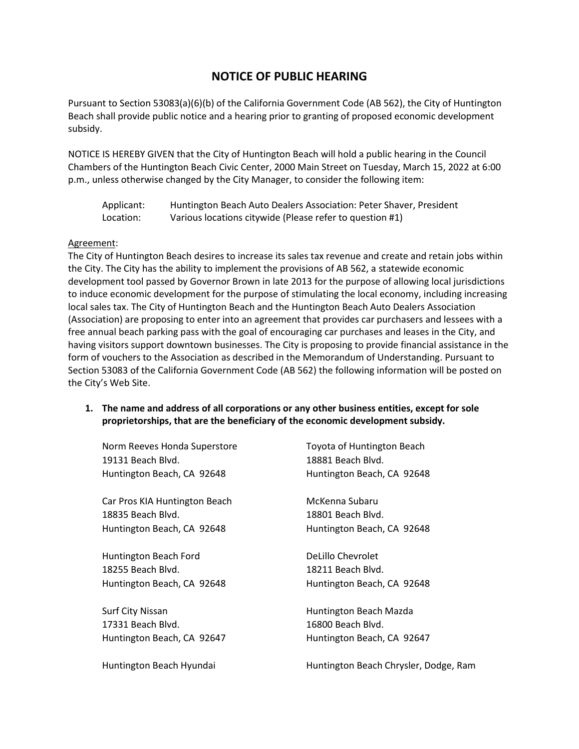# **NOTICE OF PUBLIC HEARING**

Pursuant to Section 53083(a)(6)(b) of the California Government Code (AB 562), the City of Huntington Beach shall provide public notice and a hearing prior to granting of proposed economic development subsidy.

NOTICE IS HEREBY GIVEN that the City of Huntington Beach will hold a public hearing in the Council Chambers of the Huntington Beach Civic Center, 2000 Main Street on Tuesday, March 15, 2022 at 6:00 p.m., unless otherwise changed by the City Manager, to consider the following item:

| Applicant: | Huntington Beach Auto Dealers Association: Peter Shaver, President |
|------------|--------------------------------------------------------------------|
| Location:  | Various locations citywide (Please refer to question #1)           |

#### Agreement:

The City of Huntington Beach desires to increase its sales tax revenue and create and retain jobs within the City. The City has the ability to implement the provisions of AB 562, a statewide economic development tool passed by Governor Brown in late 2013 for the purpose of allowing local jurisdictions to induce economic development for the purpose of stimulating the local economy, including increasing local sales tax. The City of Huntington Beach and the Huntington Beach Auto Dealers Association (Association) are proposing to enter into an agreement that provides car purchasers and lessees with a free annual beach parking pass with the goal of encouraging car purchases and leases in the City, and having visitors support downtown businesses. The City is proposing to provide financial assistance in the form of vouchers to the Association as described in the Memorandum of Understanding. Pursuant to Section 53083 of the California Government Code (AB 562) the following information will be posted on the City's Web Site.

**1. The name and address of all corporations or any other business entities, except for sole proprietorships, that are the beneficiary of the economic development subsidy.**

| Norm Reeves Honda Superstore<br>19131 Beach Blvd. | Toyota of Huntington Beach<br>18881 Beach Blvd. |
|---------------------------------------------------|-------------------------------------------------|
| Huntington Beach, CA 92648                        | Huntington Beach, CA 92648                      |
| Car Pros KIA Huntington Beach                     | McKenna Subaru                                  |
| 18835 Beach Blvd.                                 | 18801 Beach Blvd.                               |
| Huntington Beach, CA 92648                        | Huntington Beach, CA 92648                      |
| Huntington Beach Ford                             | DeLillo Chevrolet                               |
| 18255 Beach Blvd.                                 | 18211 Beach Blvd.                               |
| Huntington Beach, CA 92648                        | Huntington Beach, CA 92648                      |
| <b>Surf City Nissan</b>                           | Huntington Beach Mazda                          |
| 17331 Beach Blvd.                                 | 16800 Beach Blvd.                               |
| Huntington Beach, CA 92647                        | Huntington Beach, CA 92647                      |
| Huntington Beach Hyundai                          | Huntington Beach Chrysler, Dodge, Ram           |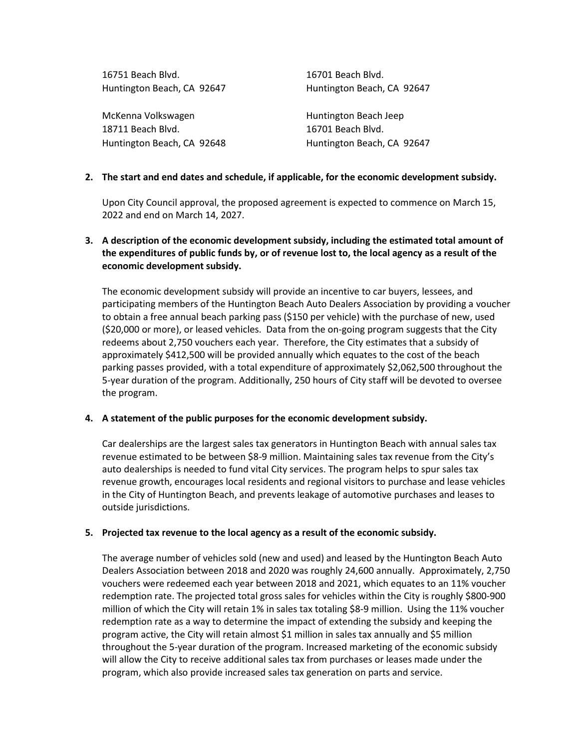| 16751 Beach Blvd.          | 16701 Beach Blvd.          |
|----------------------------|----------------------------|
| Huntington Beach, CA 92647 | Huntington Beach, CA 92647 |
|                            |                            |
| McKenna Volkswagen         | Huntington Beach Jeep      |
| 18711 Beach Blvd.          | 16701 Beach Blvd.          |
| Huntington Beach, CA 92648 | Huntington Beach, CA 92647 |
|                            |                            |

## **2. The start and end dates and schedule, if applicable, for the economic development subsidy.**

Upon City Council approval, the proposed agreement is expected to commence on March 15, 2022 and end on March 14, 2027.

## **3. A description of the economic development subsidy, including the estimated total amount of the expenditures of public funds by, or of revenue lost to, the local agency as a result of the economic development subsidy.**

The economic development subsidy will provide an incentive to car buyers, lessees, and participating members of the Huntington Beach Auto Dealers Association by providing a voucher to obtain a free annual beach parking pass (\$150 per vehicle) with the purchase of new, used (\$20,000 or more), or leased vehicles. Data from the on-going program suggests that the City redeems about 2,750 vouchers each year. Therefore, the City estimates that a subsidy of approximately \$412,500 will be provided annually which equates to the cost of the beach parking passes provided, with a total expenditure of approximately \$2,062,500 throughout the 5-year duration of the program. Additionally, 250 hours of City staff will be devoted to oversee the program.

## **4. A statement of the public purposes for the economic development subsidy.**

Car dealerships are the largest sales tax generators in Huntington Beach with annual sales tax revenue estimated to be between \$8-9 million. Maintaining sales tax revenue from the City's auto dealerships is needed to fund vital City services. The program helps to spur sales tax revenue growth, encourages local residents and regional visitors to purchase and lease vehicles in the City of Huntington Beach, and prevents leakage of automotive purchases and leases to outside jurisdictions.

## **5. Projected tax revenue to the local agency as a result of the economic subsidy.**

The average number of vehicles sold (new and used) and leased by the Huntington Beach Auto Dealers Association between 2018 and 2020 was roughly 24,600 annually. Approximately, 2,750 vouchers were redeemed each year between 2018 and 2021, which equates to an 11% voucher redemption rate. The projected total gross sales for vehicles within the City is roughly \$800-900 million of which the City will retain 1% in sales tax totaling \$8-9 million. Using the 11% voucher redemption rate as a way to determine the impact of extending the subsidy and keeping the program active, the City will retain almost \$1 million in sales tax annually and \$5 million throughout the 5-year duration of the program. Increased marketing of the economic subsidy will allow the City to receive additional sales tax from purchases or leases made under the program, which also provide increased sales tax generation on parts and service.